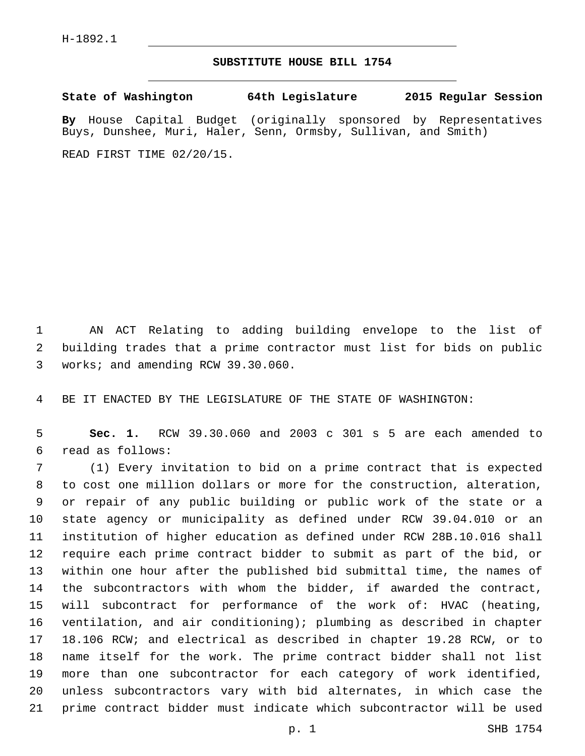## **SUBSTITUTE HOUSE BILL 1754**

**State of Washington 64th Legislature 2015 Regular Session By** House Capital Budget (originally sponsored by Representatives Buys, Dunshee, Muri, Haler, Senn, Ormsby, Sullivan, and Smith) READ FIRST TIME 02/20/15.

 AN ACT Relating to adding building envelope to the list of building trades that a prime contractor must list for bids on public 3 works; and amending RCW 39.30.060.

BE IT ENACTED BY THE LEGISLATURE OF THE STATE OF WASHINGTON:

 **Sec. 1.** RCW 39.30.060 and 2003 c 301 s 5 are each amended to read as follows:6

 (1) Every invitation to bid on a prime contract that is expected to cost one million dollars or more for the construction, alteration, or repair of any public building or public work of the state or a state agency or municipality as defined under RCW 39.04.010 or an institution of higher education as defined under RCW 28B.10.016 shall require each prime contract bidder to submit as part of the bid, or within one hour after the published bid submittal time, the names of the subcontractors with whom the bidder, if awarded the contract, will subcontract for performance of the work of: HVAC (heating, ventilation, and air conditioning); plumbing as described in chapter 18.106 RCW; and electrical as described in chapter 19.28 RCW, or to name itself for the work. The prime contract bidder shall not list more than one subcontractor for each category of work identified, unless subcontractors vary with bid alternates, in which case the prime contract bidder must indicate which subcontractor will be used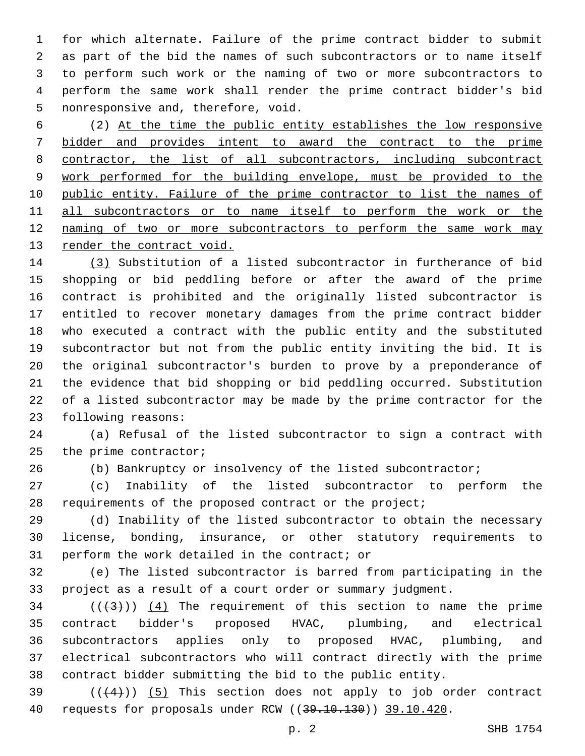for which alternate. Failure of the prime contract bidder to submit as part of the bid the names of such subcontractors or to name itself to perform such work or the naming of two or more subcontractors to perform the same work shall render the prime contract bidder's bid 5 nonresponsive and, therefore, void.

 (2) At the time the public entity establishes the low responsive bidder and provides intent to award the contract to the prime contractor, the list of all subcontractors, including subcontract work performed for the building envelope, must be provided to the 10 public entity. Failure of the prime contractor to list the names of all subcontractors or to name itself to perform the work or the 12 naming of two or more subcontractors to perform the same work may render the contract void.

 (3) Substitution of a listed subcontractor in furtherance of bid shopping or bid peddling before or after the award of the prime contract is prohibited and the originally listed subcontractor is entitled to recover monetary damages from the prime contract bidder who executed a contract with the public entity and the substituted subcontractor but not from the public entity inviting the bid. It is the original subcontractor's burden to prove by a preponderance of the evidence that bid shopping or bid peddling occurred. Substitution of a listed subcontractor may be made by the prime contractor for the 23 following reasons:

 (a) Refusal of the listed subcontractor to sign a contract with 25 the prime contractor;

(b) Bankruptcy or insolvency of the listed subcontractor;

 (c) Inability of the listed subcontractor to perform the 28 requirements of the proposed contract or the project;

 (d) Inability of the listed subcontractor to obtain the necessary license, bonding, insurance, or other statutory requirements to 31 perform the work detailed in the contract; or

 (e) The listed subcontractor is barred from participating in the project as a result of a court order or summary judgment.

 ( $(\frac{43}{})$ )  $(4)$  The requirement of this section to name the prime contract bidder's proposed HVAC, plumbing, and electrical subcontractors applies only to proposed HVAC, plumbing, and electrical subcontractors who will contract directly with the prime contract bidder submitting the bid to the public entity.

 (( $(4)$ )) (5) This section does not apply to job order contract 40 requests for proposals under RCW ((39.10.130)) 39.10.420.